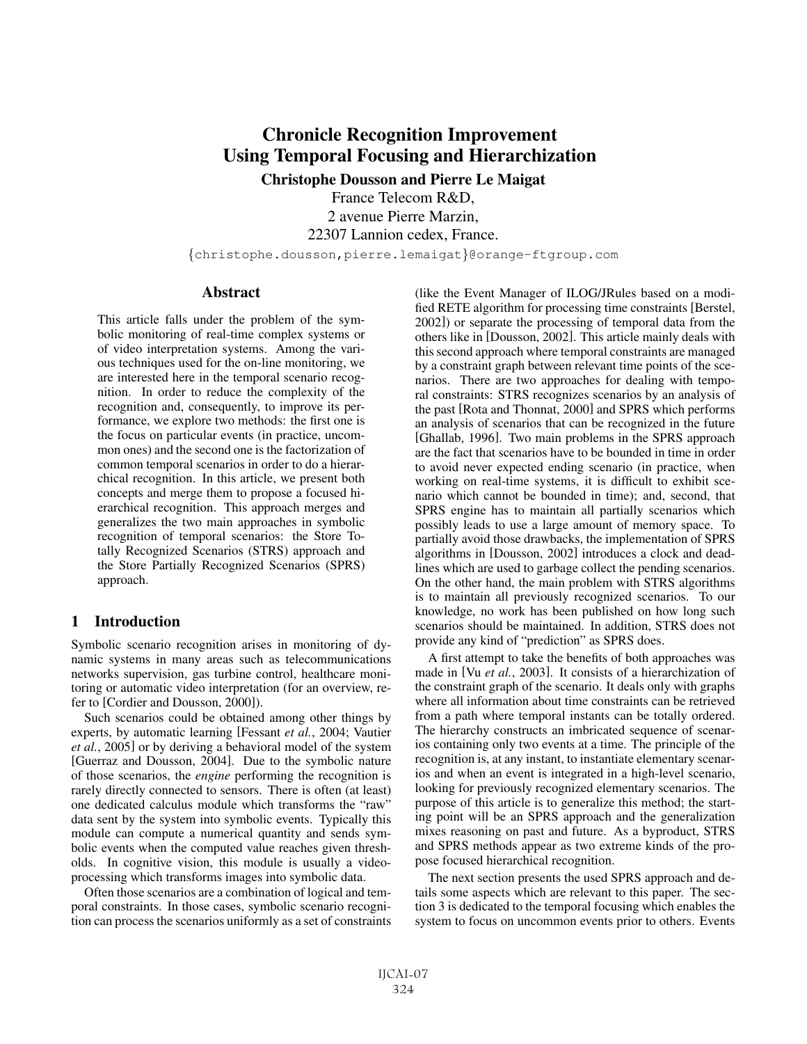# Chronicle Recognition Improvement Using Temporal Focusing and Hierarchization

Christophe Dousson and Pierre Le Maigat

France Telecom R&D, 2 avenue Pierre Marzin, 22307 Lannion cedex, France.

{christophe.dousson,pierre.lemaigat}@orange-ftgroup.com

### Abstract

This article falls under the problem of the symbolic monitoring of real-time complex systems or of video interpretation systems. Among the various techniques used for the on-line monitoring, we are interested here in the temporal scenario recognition. In order to reduce the complexity of the recognition and, consequently, to improve its performance, we explore two methods: the first one is the focus on particular events (in practice, uncommon ones) and the second one is the factorization of common temporal scenarios in order to do a hierarchical recognition. In this article, we present both concepts and merge them to propose a focused hierarchical recognition. This approach merges and generalizes the two main approaches in symbolic recognition of temporal scenarios: the Store Totally Recognized Scenarios (STRS) approach and the Store Partially Recognized Scenarios (SPRS) approach.

## 1 Introduction

Symbolic scenario recognition arises in monitoring of dynamic systems in many areas such as telecommunications networks supervision, gas turbine control, healthcare monitoring or automatic video interpretation (for an overview, refer to [Cordier and Dousson, 2000]).

Such scenarios could be obtained among other things by experts, by automatic learning [Fessant *et al.*, 2004; Vautier *et al.*, 2005] or by deriving a behavioral model of the system [Guerraz and Dousson, 2004]. Due to the symbolic nature of those scenarios, the *engine* performing the recognition is rarely directly connected to sensors. There is often (at least) one dedicated calculus module which transforms the "raw" data sent by the system into symbolic events. Typically this module can compute a numerical quantity and sends symbolic events when the computed value reaches given thresholds. In cognitive vision, this module is usually a videoprocessing which transforms images into symbolic data.

Often those scenarios are a combination of logical and temporal constraints. In those cases, symbolic scenario recognition can process the scenarios uniformly as a set of constraints (like the Event Manager of ILOG/JRules based on a modified RETE algorithm for processing time constraints [Berstel, 2002]) or separate the processing of temporal data from the others like in [Dousson, 2002]. This article mainly deals with this second approach where temporal constraints are managed by a constraint graph between relevant time points of the scenarios. There are two approaches for dealing with temporal constraints: STRS recognizes scenarios by an analysis of the past [Rota and Thonnat, 2000] and SPRS which performs an analysis of scenarios that can be recognized in the future [Ghallab, 1996]. Two main problems in the SPRS approach are the fact that scenarios have to be bounded in time in order to avoid never expected ending scenario (in practice, when working on real-time systems, it is difficult to exhibit scenario which cannot be bounded in time); and, second, that SPRS engine has to maintain all partially scenarios which possibly leads to use a large amount of memory space. To partially avoid those drawbacks, the implementation of SPRS algorithms in [Dousson, 2002] introduces a clock and deadlines which are used to garbage collect the pending scenarios. On the other hand, the main problem with STRS algorithms is to maintain all previously recognized scenarios. To our knowledge, no work has been published on how long such scenarios should be maintained. In addition, STRS does not provide any kind of "prediction" as SPRS does.

A first attempt to take the benefits of both approaches was made in [Vu *et al.*, 2003]. It consists of a hierarchization of the constraint graph of the scenario. It deals only with graphs where all information about time constraints can be retrieved from a path where temporal instants can be totally ordered. The hierarchy constructs an imbricated sequence of scenarios containing only two events at a time. The principle of the recognition is, at any instant, to instantiate elementary scenarios and when an event is integrated in a high-level scenario, looking for previously recognized elementary scenarios. The purpose of this article is to generalize this method; the starting point will be an SPRS approach and the generalization mixes reasoning on past and future. As a byproduct, STRS and SPRS methods appear as two extreme kinds of the propose focused hierarchical recognition.

The next section presents the used SPRS approach and details some aspects which are relevant to this paper. The section 3 is dedicated to the temporal focusing which enables the system to focus on uncommon events prior to others. Events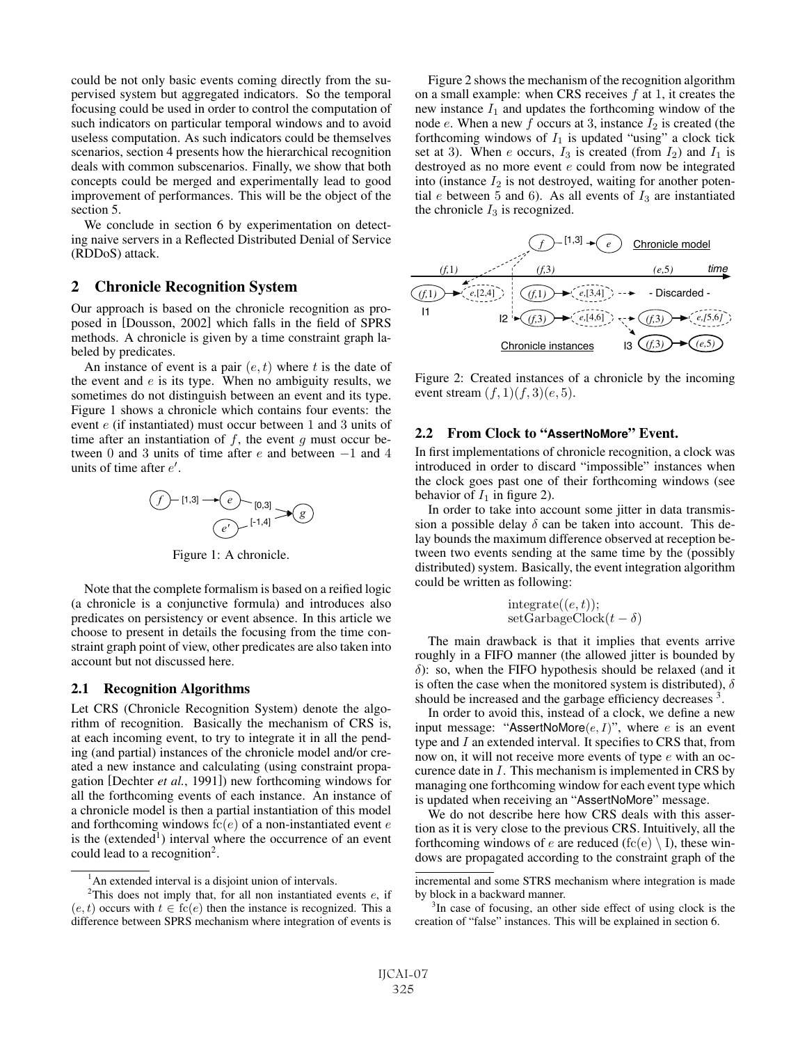could be not only basic events coming directly from the supervised system but aggregated indicators. So the temporal focusing could be used in order to control the computation of such indicators on particular temporal windows and to avoid useless computation. As such indicators could be themselves scenarios, section 4 presents how the hierarchical recognition deals with common subscenarios. Finally, we show that both concepts could be merged and experimentally lead to good improvement of performances. This will be the object of the section 5.

We conclude in section 6 by experimentation on detecting naive servers in a Reflected Distributed Denial of Service (RDDoS) attack.

## 2 Chronicle Recognition System

Our approach is based on the chronicle recognition as proposed in [Dousson, 2002] which falls in the field of SPRS methods. A chronicle is given by a time constraint graph labeled by predicates.

An instance of event is a pair  $(e, t)$  where t is the date of the event and  $e$  is its type. When no ambiguity results, we sometimes do not distinguish between an event and its type. Figure 1 shows a chronicle which contains four events: the event e (if instantiated) must occur between <sup>1</sup> and <sup>3</sup> units of time after an instantiation of  $f$ , the event  $g$  must occur between <sup>0</sup> and <sup>3</sup> units of time after e and between <sup>−</sup><sup>1</sup> and <sup>4</sup> units of time after  $e'$ .



Figure 1: A chronicle.

Note that the complete formalism is based on a reified logic (a chronicle is a conjunctive formula) and introduces also predicates on persistency or event absence. In this article we choose to present in details the focusing from the time constraint graph point of view, other predicates are also taken into account but not discussed here.

#### 2.1 Recognition Algorithms

Let CRS (Chronicle Recognition System) denote the algorithm of recognition. Basically the mechanism of CRS is, at each incoming event, to try to integrate it in all the pending (and partial) instances of the chronicle model and/or created a new instance and calculating (using constraint propagation [Dechter *et al.*, 1991]) new forthcoming windows for all the forthcoming events of each instance. An instance of a chronicle model is then a partial instantiation of this model and forthcoming windows  $fc(e)$  of a non-instantiated event e is the (extended<sup>1</sup>) interval where the occurrence of an event could lead to a recognition<sup>2</sup>.

Figure 2 shows the mechanism of the recognition algorithm on a small example: when CRS receives  $f$  at 1, it creates the new instance  $I_1$  and updates the forthcoming window of the node e. When a new f occurs at 3, instance  $I_2$  is created (the forthcoming windows of  $I_1$  is updated "using" a clock tick set at 3). When e occurs,  $I_3$  is created (from  $I_2$ ) and  $I_1$  is destroyed as no more event e could from now be integrated into (instance  $I_2$  is not destroyed, waiting for another potential  $e$  between 5 and 6). As all events of  $I_3$  are instantiated the chronicle  $I_3$  is recognized.



Figure 2: Created instances of a chronicle by the incoming event stream  $(f, 1)(f, 3)(e, 5)$ .

## 2.2 From Clock to "**AssertNoMore**" Event.

In first implementations of chronicle recognition, a clock was introduced in order to discard "impossible" instances when the clock goes past one of their forthcoming windows (see behavior of  $I_1$  in figure 2).

In order to take into account some jitter in data transmission a possible delay  $\delta$  can be taken into account. This delay bounds the maximum difference observed at reception between two events sending at the same time by the (possibly distributed) system. Basically, the event integration algorithm could be written as following:

$$
integrate((e, t));
$$
  
setGarbageClock $(t - \delta)$ 

The main drawback is that it implies that events arrive roughly in a FIFO manner (the allowed jitter is bounded by  $\delta$ ): so, when the FIFO hypothesis should be relaxed (and it is often the case when the monitored system is distributed),  $\delta$ should be increased and the garbage efficiency decreases <sup>3</sup>.

In order to avoid this, instead of a clock, we define a new input message: "AssertNoMore $(e, I)$ ", where e is an event type and I an extended interval. It specifies to CRS that, from now on, it will not receive more events of type e with an occurence date in I. This mechanism is implemented in CRS by managing one forthcoming window for each event type which is updated when receiving an "AssertNoMore" message.

We do not describe here how CRS deals with this assertion as it is very close to the previous CRS. Intuitively, all the forthcoming windows of e are reduced (fc(e)  $\setminus$  I), these windows are propagated according to the constraint graph of the

<sup>&</sup>lt;sup>1</sup>An extended interval is a disjoint union of intervals.

<sup>&</sup>lt;sup>2</sup>This does not imply that, for all non instantiated events  $e$ , if  $(e, t)$  occurs with  $t \in \text{fc}(e)$  then the instance is recognized. This a difference between SPRS mechanism where integration of events is

incremental and some STRS mechanism where integration is made by block in a backward manner.

<sup>&</sup>lt;sup>3</sup>In case of focusing, an other side effect of using clock is the creation of "false" instances. This will be explained in section 6.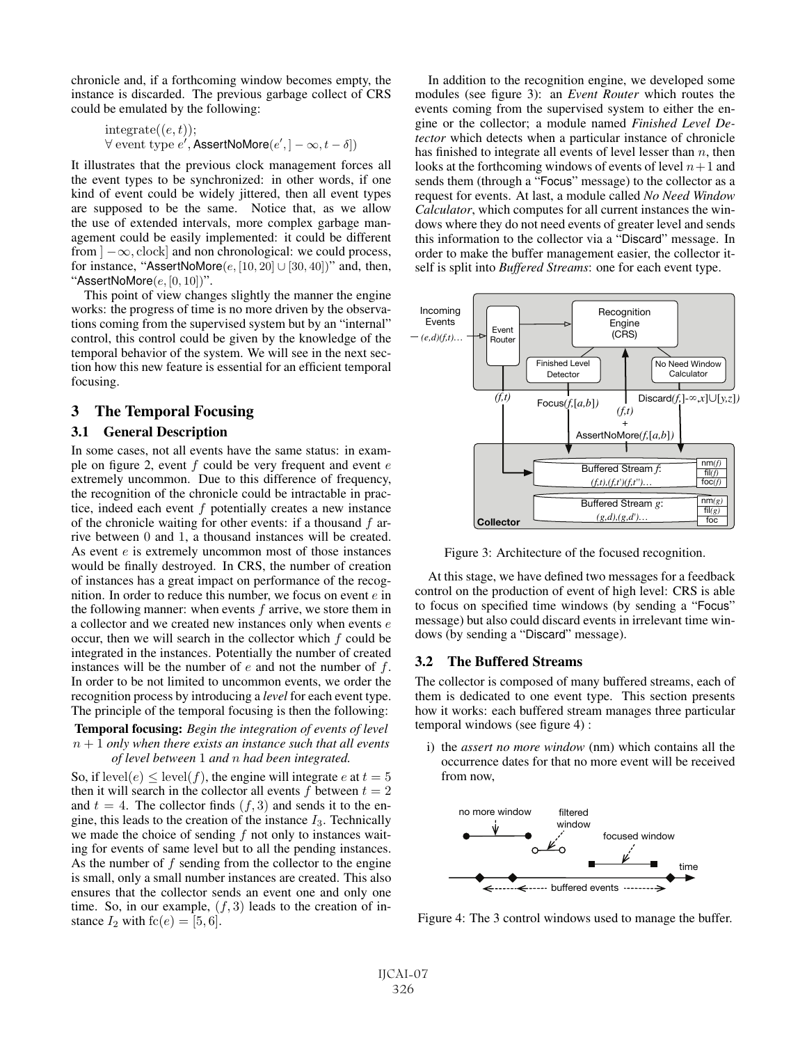chronicle and, if a forthcoming window becomes empty, the instance is discarded. The previous garbage collect of CRS could be emulated by the following:

```
integrate((e,t));<br>\forall event type e'\forall event type e', AssertNoMore(e', ] - \infty, t - \delta])
```
It illustrates that the previous clock management forces all the event types to be synchronized: in other words, if one kind of event could be widely jittered, then all event types are supposed to be the same. Notice that, as we allow the use of extended intervals, more complex garbage management could be easily implemented: it could be different from  $]-\infty$ , clock] and non chronological: we could process, for instance, "AssertNoMore $(e, [10, 20] \cup [30, 40])$ " and, then, "AssertNoMore $(e, [0, 10])$ ".

This point of view changes slightly the manner the engine works: the progress of time is no more driven by the observations coming from the supervised system but by an "internal" control, this control could be given by the knowledge of the temporal behavior of the system. We will see in the next section how this new feature is essential for an efficient temporal focusing.

## 3 The Temporal Focusing

#### 3.1 General Description

In some cases, not all events have the same status: in example on figure 2, event  $f$  could be very frequent and event  $e$ extremely uncommon. Due to this difference of frequency, the recognition of the chronicle could be intractable in practice, indeed each event  $f$  potentially creates a new instance of the chronicle waiting for other events: if a thousand  $f$  arrive between 0 and 1, a thousand instances will be created. As event  $e$  is extremely uncommon most of those instances would be finally destroyed. In CRS, the number of creation of instances has a great impact on performance of the recognition. In order to reduce this number, we focus on event  $e$  in the following manner: when events  $f$  arrive, we store them in a collector and we created new instances only when events e occur, then we will search in the collector which  $f$  could be integrated in the instances. Potentially the number of created instances will be the number of  $e$  and not the number of  $f$ . In order to be not limited to uncommon events, we order the recognition process by introducing a *level* for each event type. The principle of the temporal focusing is then the following:

#### Temporal focusing: *Begin the integration of events of level* n + 1 *only when there exists an instance such that all events of level between* <sup>1</sup> *and* n *had been integrated.*

So, if level(e)  $\leq$  level(f), the engine will integrate e at  $t = 5$ then it will search in the collector all events f between  $t = 2$ and  $t = 4$ . The collector finds  $(f, 3)$  and sends it to the engine, this leads to the creation of the instance  $I_3$ . Technically we made the choice of sending  $f$  not only to instances waiting for events of same level but to all the pending instances. As the number of  $f$  sending from the collector to the engine is small, only a small number instances are created. This also ensures that the collector sends an event one and only one time. So, in our example,  $(f, 3)$  leads to the creation of instance  $I_2$  with  $fc(e) = [5, 6]$ .

In addition to the recognition engine, we developed some modules (see figure 3): an *Event Router* which routes the events coming from the supervised system to either the engine or the collector; a module named *Finished Level Detector* which detects when a particular instance of chronicle has finished to integrate all events of level lesser than  $n$ , then looks at the forthcoming windows of events of level  $n+1$  and sends them (through a "Focus" message) to the collector as a request for events. At last, a module called *No Need Window Calculator*, which computes for all current instances the windows where they do not need events of greater level and sends this information to the collector via a "Discard" message. In order to make the buffer management easier, the collector itself is split into *Buffered Streams*: one for each event type.



Figure 3: Architecture of the focused recognition.

At this stage, we have defined two messages for a feedback control on the production of event of high level: CRS is able to focus on specified time windows (by sending a "Focus" message) but also could discard events in irrelevant time windows (by sending a "Discard" message).

## 3.2 The Buffered Streams

The collector is composed of many buffered streams, each of them is dedicated to one event type. This section presents how it works: each buffered stream manages three particular temporal windows (see figure 4) :

i) the *assert no more window* (nm) which contains all the occurrence dates for that no more event will be received from now,



Figure 4: The 3 control windows used to manage the buffer.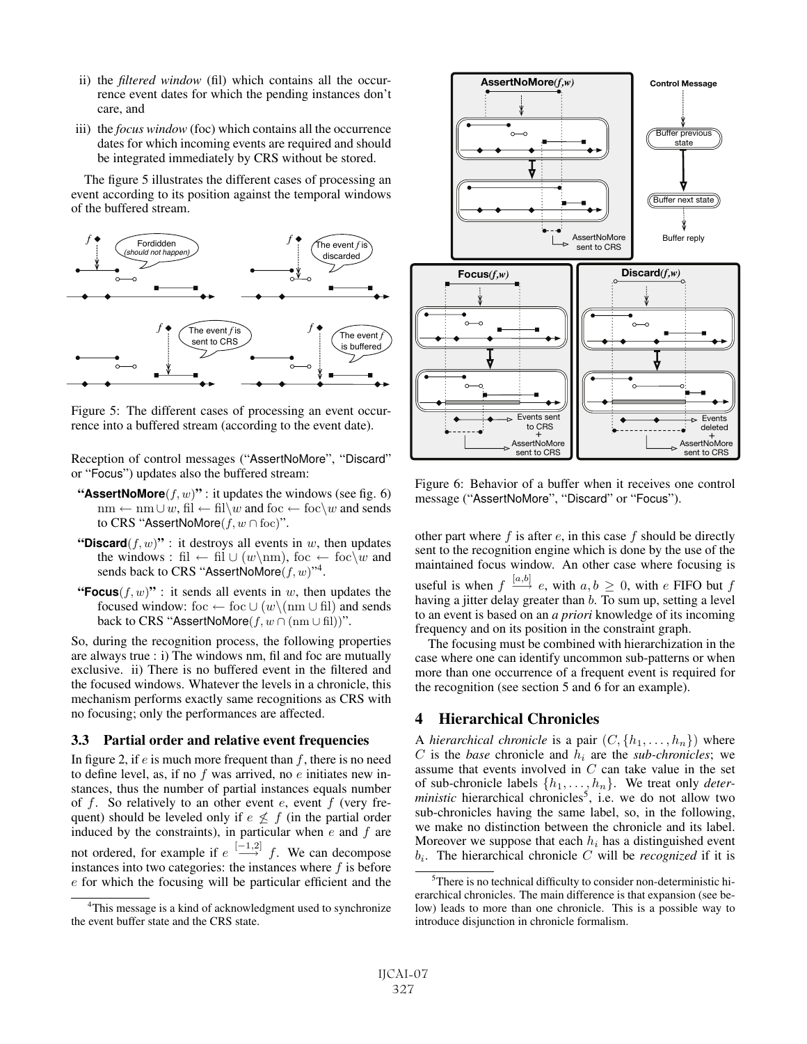- ii) the *filtered window* (fil) which contains all the occurrence event dates for which the pending instances don't care, and
- iii) the *focus window* (foc) which contains all the occurrence dates for which incoming events are required and should be integrated immediately by CRS without be stored.

The figure 5 illustrates the different cases of processing an event according to its position against the temporal windows of the buffered stream.



Figure 5: The different cases of processing an event occurrence into a buffered stream (according to the event date).

Reception of control messages ("AssertNoMore", "Discard" or "Focus") updates also the buffered stream:

- "**AssertNoMore** $(f, w)$ " : it updates the windows (see fig. 6)  $nm \leftarrow nm \cup w$ , fil  $\leftarrow$  fil $\setminus w$  and foc  $\leftarrow$  foc $\setminus w$  and sends to CRS "AssertNoMore $(f, w \cap$  foc)".
- "Discard $(f, w)$ ": it destroys all events in w, then updates the windows : fil ← fil  $\cup$  (w\nm), foc ← foc\w and sends back to CRS "AssertNoMore $(f, w)$ "<sup>4</sup>.
- "**Focus** $(f, w)$ ": it sends all events in w, then updates the focused window: foc ← foc  $\cup$  (w\(nm  $\cup$  fil) and sends back to CRS "AssertNoMore $(f, w \cap (nm \cup \text{fil}))$ ".

So, during the recognition process, the following properties are always true : i) The windows nm, fil and foc are mutually exclusive. ii) There is no buffered event in the filtered and the focused windows. Whatever the levels in a chronicle, this mechanism performs exactly same recognitions as CRS with no focusing; only the performances are affected.

## 3.3 Partial order and relative event frequencies

In figure 2, if  $e$  is much more frequent than  $f$ , there is no need to define level, as, if no  $f$  was arrived, no  $e$  initiates new instances, thus the number of partial instances equals number of f. So relatively to an other event  $e$ , event  $f$  (very frequent) should be leveled only if  $e \nleq f$  (in the partial order induced by the constraints), in particular when  $e$  and  $f$  are not ordered, for example if  $e \stackrel{[-1,2]}{\longrightarrow} f$ . We can decompose<br>instances into two categories: the instances where f is before instances into two categories: the instances where  $f$  is before e for which the focusing will be particular efficient and the



Figure 6: Behavior of a buffer when it receives one control message ("AssertNoMore", "Discard" or "Focus").

other part where  $f$  is after  $e$ , in this case  $f$  should be directly sent to the recognition engine which is done by the use of the maintained focus window. An other case where focusing is useful is when  $f \stackrel{[a,b]}{\longrightarrow} e$ , with  $a, b \geq 0$ , with e FIFO but f having a jitter delay greater than  $\overline{b}$ . To sum up, setting a level to an event is based on an *a priori* knowledge of its incoming frequency and on its position in the constraint graph.

The focusing must be combined with hierarchization in the case where one can identify uncommon sub-patterns or when more than one occurrence of a frequent event is required for the recognition (see section 5 and 6 for an example).

# 4 Hierarchical Chronicles

A *hierarchical chronicle* is a pair  $(C, \{h_1, \ldots, h_n\})$  where  $C$  is the *base* chronicle and  $h_i$  are the *sub-chronicles*; we assume that events involved in C can take value in the set of sub-chronicle labels  $\{h_1, \ldots, h_n\}$ . We treat only *deter-ministic* hierarchical chronicles<sup>5</sup>, i.e. we do not allow two sub-chronicles having the same label, so, in the following, we make no distinction between the chronicle and its label. Moreover we suppose that each  $h_i$  has a distinguished event  $b_i$ . The hierarchical chronicle C will be *recognized* if it is

<sup>&</sup>lt;sup>4</sup>This message is a kind of acknowledgment used to synchronize the event buffer state and the CRS state.

<sup>&</sup>lt;sup>5</sup>There is no technical difficulty to consider non-deterministic hierarchical chronicles. The main difference is that expansion (see below) leads to more than one chronicle. This is a possible way to introduce disjunction in chronicle formalism.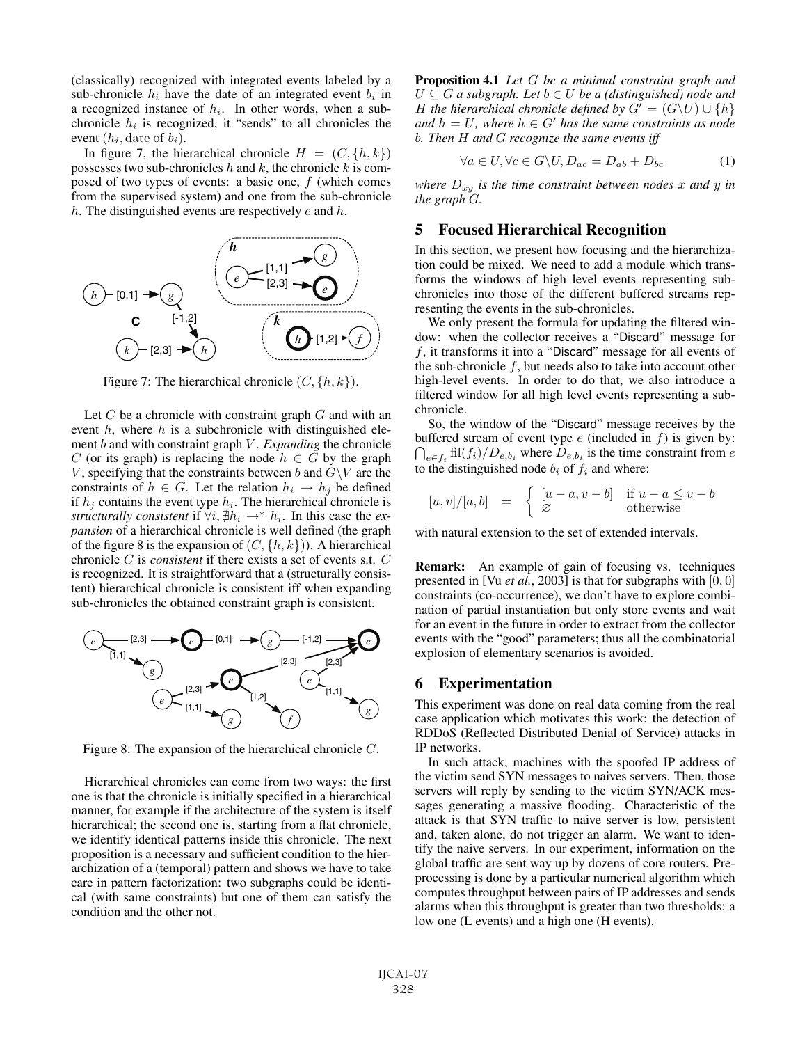(classically) recognized with integrated events labeled by a sub-chronicle  $h_i$  have the date of an integrated event  $b_i$  in a recognized instance of  $h_i$ . In other words, when a subchronicle  $h_i$  is recognized, it "sends" to all chronicles the event  $(h_i, \text{date of } b_i)$ .

In figure 7, the hierarchical chronicle  $H = (C, \{h, k\})$ possesses two sub-chronicles  $h$  and  $k$ , the chronicle  $k$  is composed of two types of events: a basic one, f (which comes from the supervised system) and one from the sub-chronicle h. The distinguished events are respectively  $e$  and  $h$ .



Figure 7: The hierarchical chronicle  $(C, \{h, k\})$ .

Let  $C$  be a chronicle with constraint graph  $G$  and with an event  $h$ , where  $h$  is a subchronicle with distinguished element *b* and with constraint graph *V*. *Expanding* the chronicle C (or its graph) is replacing the node  $h \in G$  by the graph V, specifying that the constraints between b and  $G\backslash V$  are the constraints of  $h \in G$ . Let the relation  $h_i \to h_j$  be defined if  $h_j$  contains the event type  $h_i$ . The hierarchical chronicle is *structurally consistent* if  $\forall i, \nexists h_i \rightarrow^* h_i$ . In this case the *ex-*<br>*pansion* of a hierarchical chronicle is well defined (the graph *pansion* of a hierarchical chronicle is well defined (the graph of the figure 8 is the expansion of  $(C, \{h, k\})$ . A hierarchical chronicle C is *consistent* if there exists a set of events s.t. C is recognized. It is straightforward that a (structurally consistent) hierarchical chronicle is consistent iff when expanding sub-chronicles the obtained constraint graph is consistent.



Figure 8: The expansion of the hierarchical chronicle C.

Hierarchical chronicles can come from two ways: the first one is that the chronicle is initially specified in a hierarchical manner, for example if the architecture of the system is itself hierarchical; the second one is, starting from a flat chronicle, we identify identical patterns inside this chronicle. The next proposition is a necessary and sufficient condition to the hierarchization of a (temporal) pattern and shows we have to take care in pattern factorization: two subgraphs could be identical (with same constraints) but one of them can satisfy the condition and the other not.

Proposition 4.1 *Let* G *be a minimal constraint graph and*  $U \subseteq G$  a subgraph. Let  $b \in U$  be a (distinguished) node and H the hierarchical chronicle defined by  $G' = (G\backslash U) \cup \{h\}$ <br>and  $h = U$  where  $h \in G'$  has the same constraints as node  $and h = U$ , where  $h \in G'$  has the same constraints as node b<br>b Then H and G recognize the same events iff b*. Then* H *and* G *recognize the same events iff*

$$
\forall a \in U, \forall c \in G \setminus U, D_{ac} = D_{ab} + D_{bc} \tag{1}
$$

*where*  $D_{xy}$  *is the time constraint between nodes* x and y *in the graph* G*.*

## 5 Focused Hierarchical Recognition

In this section, we present how focusing and the hierarchization could be mixed. We need to add a module which transforms the windows of high level events representing subchronicles into those of the different buffered streams representing the events in the sub-chronicles.

We only present the formula for updating the filtered window: when the collector receives a "Discard" message for f, it transforms it into a "Discard" message for all events of the sub-chronicle  $f$ , but needs also to take into account other high-level events. In order to do that, we also introduce a filtered window for all high level events representing a subchronicle.

So, the window of the "Discard" message receives by the  $\bigcap_{e \in f_i} \text{fil}(f_i)/D_{e,b_i}$  where  $D_{e,b_i}$  is the time constraint from e buffered stream of event type  $e$  (included in  $f$ ) is given by: to the distinguished node  $b_i$  of  $f_i$  and where:

$$
[u, v]/[a, b] = \begin{cases} [u-a, v-b] & \text{if } u-a \le v-b \\ \varnothing & \text{otherwise} \end{cases}
$$

with natural extension to the set of extended intervals.

Remark: An example of gain of focusing vs. techniques presented in [Vu *et al.*, 2003] is that for subgraphs with [0, 0] constraints (co-occurrence), we don't have to explore combination of partial instantiation but only store events and wait for an event in the future in order to extract from the collector events with the "good" parameters; thus all the combinatorial explosion of elementary scenarios is avoided.

#### 6 Experimentation

This experiment was done on real data coming from the real case application which motivates this work: the detection of RDDoS (Reflected Distributed Denial of Service) attacks in IP networks.

In such attack, machines with the spoofed IP address of the victim send SYN messages to naives servers. Then, those servers will reply by sending to the victim SYN/ACK messages generating a massive flooding. Characteristic of the attack is that SYN traffic to naive server is low, persistent and, taken alone, do not trigger an alarm. We want to identify the naive servers. In our experiment, information on the global traffic are sent way up by dozens of core routers. Preprocessing is done by a particular numerical algorithm which computes throughput between pairs of IP addresses and sends alarms when this throughput is greater than two thresholds: a low one (L events) and a high one (H events).